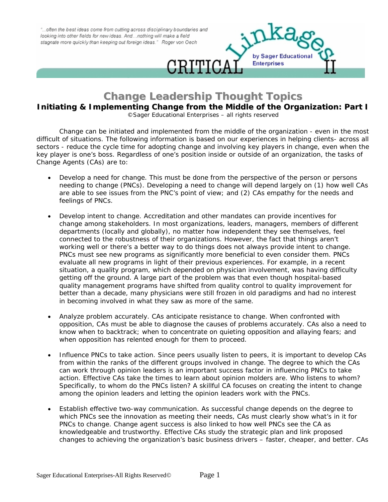"...often the best ideas come from cutting across disciplinary boundaries and looking into other fields for new ideas. And...nothing will make a field stagnate more quickly than keeping out foreign ideas." Roger von Oech



## **Change Leadership Thought Topics**

**Initiating & Implementing Change from the Middle of the Organization: Part I**

*©Sager Educational Enterprises – all rights reserved*

Change can be initiated and implemented from the middle of the organization - even in the most difficult of situations. The following information is based on our experiences in helping clients- across all sectors - reduce the cycle time for adopting change and involving key players in change, even when the key player is one's boss. Regardless of one's position inside or outside of an organization, the tasks of Change Agents (CAs) are to:

- *Develop a need for change*. This must be done from the perspective of the person or persons needing to change (PNCs). Developing a need to change will depend largely on (1) how well CAs are able to see issues from the PNC's point of view; and (2) CAs empathy for the needs and feelings of PNCs.
- *Develop intent to change*. Accreditation and other mandates can provide incentives for change among stakeholders. In most organizations, leaders, managers, members of different departments (locally and globally), no matter how independent they see themselves, feel connected to the robustness of their organizations. However, the fact that things aren't working well or there's a better way to do things does not always provide intent to change. PNCs must see new programs as *significantly* more beneficial to even consider them. PNCs evaluate all new programs in light of their previous experiences. For example, in a recent situation, a quality program, which depended on physician involvement, was having difficulty getting off the ground. A large part of the problem was that even though hospital-based quality management programs have shifted from quality control to quality improvement for better than a decade, many physicians were still frozen in old paradigms and had no interest in becoming involved in what they saw as *more of the same*.
- *Analyze problem accurately*. CAs anticipate resistance to change. When confronted with opposition, CAs must be able to diagnose the causes of problems accurately. CAs also a need to know when to backtrack; when to concentrate on quieting opposition and allaying fears; and when opposition has relented enough for them to proceed.
- *Influence PNCs to take action*. Since peers usually listen to peers, it is important to develop CAs from within the ranks of the different groups involved in change. The degree to which the CAs can work through opinion leaders is an important success factor in influencing PNCs to take action. Effective CAs take the times to learn about opinion molders are. Who listens to whom? Specifically, to whom do the PNCs listen? A skillful CA focuses on creating the intent to change among the opinion leaders and letting the opinion leaders work with the PNCs.
- *Establish effective two-way communication*. As successful change depends on the degree to which PNCs see the innovation as meeting their needs, CAs must clearly show what's in it for PNCs to change. Change agent success is also linked to how well PNCs see the CA as knowledgeable and trustworthy. Effective CAs study the strategic plan and link proposed changes to achieving the organization's basic business drivers – faster, cheaper, and better. CAs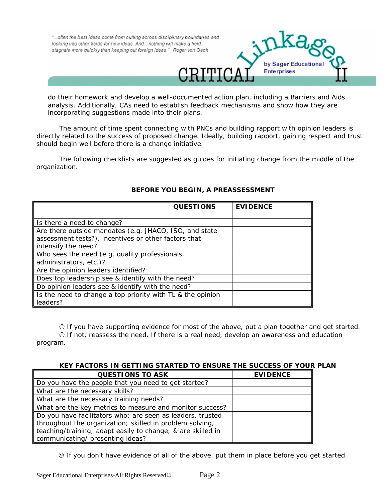

do their homework and develop a well-documented action plan, including a Barriers and Aids analysis. Additionally, CAs need to establish feedback mechanisms and show how they are incorporating suggestions made into their plans.

The amount of time spent connecting with PNCs and building rapport with opinion leaders is directly related to the success of proposed change. Ideally, building rapport, gaining respect and trust should begin well before there is a change initiative.

The following checklists are suggested as guides for initiating change from the middle of the organization.

| <b>QUESTIONS</b>                                                                                                                      | <b>EVIDENCE</b> |
|---------------------------------------------------------------------------------------------------------------------------------------|-----------------|
| Is there a need to change?                                                                                                            |                 |
| Are there outside mandates (e.g. JHACO, ISO, and state<br>assessment tests?), incentives or other factors that<br>intensify the need? |                 |
| Who sees the need (e.g. quality professionals,<br>administrators, etc.)?                                                              |                 |
| Are the opinion leaders identified?                                                                                                   |                 |
| Does top leadership see & identify with the need?                                                                                     |                 |
| Do opinion leaders see & identify with the need?                                                                                      |                 |
| Is the need to change a top priority with TL & the opinion<br>leaders?                                                                |                 |

## **BEFORE YOU BEGIN, A PREASSESSMENT**

☺ If you have supporting evidence for most of the above, put a plan together and get started.  $\otimes$  If not, reassess the need. If there is a real need, develop an awareness and education program.

| KEY FACTORS IN GETTING STARTED TO ENSURE THE SUCCESS OF YOUR PLAN |                 |  |
|-------------------------------------------------------------------|-----------------|--|
| <b>QUESTIONS TO ASK</b>                                           | <b>EVIDENCE</b> |  |
| Do you have the people that you need to get started?              |                 |  |
| What are the necessary skills?                                    |                 |  |
| What are the necessary training needs?                            |                 |  |
| What are the key metrics to measure and monitor success?          |                 |  |
| Do you have facilitators who: are seen as leaders, trusted        |                 |  |
| throughout the organization; skilled in problem solving,          |                 |  |
| teaching/training; adapt easily to change; & are skilled in       |                 |  |
| communicating/ presenting ideas?                                  |                 |  |

. If you don't have evidence of all of the above, put them in place before you get started.